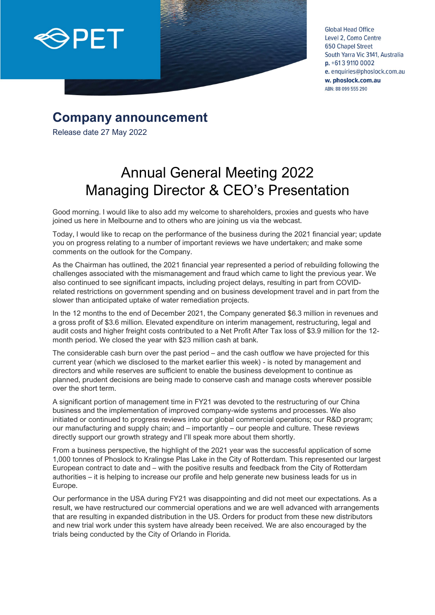

**Global Head Office** Level 2, Como Centre **650 Chapel Street** South Yarra Vic 3141, Australia  $p. +61391100002$ e. enquiries@phoslock.com.au w. phoslock.com.au ABN: 88 099 555 290

## **Company announcement**

Release date 27 May 2022

## Annual General Meeting 2022 Managing Director & CEO's Presentation

Good morning. I would like to also add my welcome to shareholders, proxies and guests who have joined us here in Melbourne and to others who are joining us via the webcast.

Today, I would like to recap on the performance of the business during the 2021 financial year; update you on progress relating to a number of important reviews we have undertaken; and make some comments on the outlook for the Company.

As the Chairman has outlined, the 2021 financial year represented a period of rebuilding following the challenges associated with the mismanagement and fraud which came to light the previous year. We also continued to see significant impacts, including project delays, resulting in part from COVIDrelated restrictions on government spending and on business development travel and in part from the slower than anticipated uptake of water remediation projects.

In the 12 months to the end of December 2021, the Company generated \$6.3 million in revenues and a gross profit of \$3.6 million. Elevated expenditure on interim management, restructuring, legal and audit costs and higher freight costs contributed to a Net Profit After Tax loss of \$3.9 million for the 12 month period. We closed the year with \$23 million cash at bank.

The considerable cash burn over the past period – and the cash outflow we have projected for this current year (which we disclosed to the market earlier this week) - is noted by management and directors and while reserves are sufficient to enable the business development to continue as planned, prudent decisions are being made to conserve cash and manage costs wherever possible over the short term.

A significant portion of management time in FY21 was devoted to the restructuring of our China business and the implementation of improved company-wide systems and processes. We also initiated or continued to progress reviews into our global commercial operations; our R&D program; our manufacturing and supply chain; and – importantly – our people and culture. These reviews directly support our growth strategy and I'll speak more about them shortly.

From a business perspective, the highlight of the 2021 year was the successful application of some 1,000 tonnes of Phoslock to Kralingse Plas Lake in the City of Rotterdam. This represented our largest European contract to date and – with the positive results and feedback from the City of Rotterdam authorities – it is helping to increase our profile and help generate new business leads for us in Europe.

Our performance in the USA during FY21 was disappointing and did not meet our expectations. As a result, we have restructured our commercial operations and we are well advanced with arrangements that are resulting in expanded distribution in the US. Orders for product from these new distributors and new trial work under this system have already been received. We are also encouraged by the trials being conducted by the City of Orlando in Florida.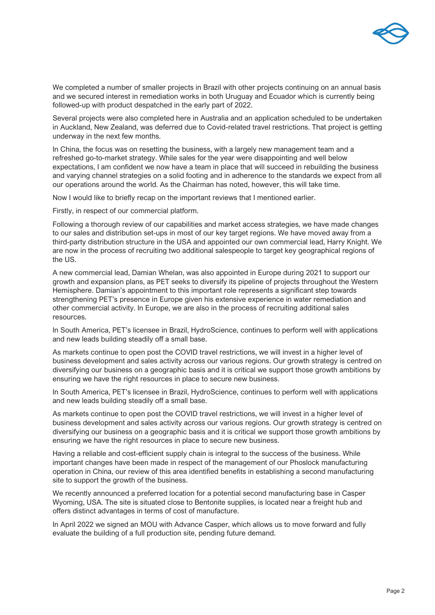

We completed a number of smaller projects in Brazil with other projects continuing on an annual basis and we secured interest in remediation works in both Uruguay and Ecuador which is currently being followed-up with product despatched in the early part of 2022.

Several projects were also completed here in Australia and an application scheduled to be undertaken in Auckland, New Zealand, was deferred due to Covid-related travel restrictions. That project is getting underway in the next few months.

In China, the focus was on resetting the business, with a largely new management team and a refreshed go-to-market strategy. While sales for the year were disappointing and well below expectations, I am confident we now have a team in place that will succeed in rebuilding the business and varying channel strategies on a solid footing and in adherence to the standards we expect from all our operations around the world. As the Chairman has noted, however, this will take time.

Now I would like to briefly recap on the important reviews that I mentioned earlier.

Firstly, in respect of our commercial platform.

Following a thorough review of our capabilities and market access strategies, we have made changes to our sales and distribution set-ups in most of our key target regions. We have moved away from a third-party distribution structure in the USA and appointed our own commercial lead, Harry Knight. We are now in the process of recruiting two additional salespeople to target key geographical regions of the US.

A new commercial lead, Damian Whelan, was also appointed in Europe during 2021 to support our growth and expansion plans, as PET seeks to diversify its pipeline of projects throughout the Western Hemisphere. Damian's appointment to this important role represents a significant step towards strengthening PET's presence in Europe given his extensive experience in water remediation and other commercial activity. In Europe, we are also in the process of recruiting additional sales resources.

In South America, PET's licensee in Brazil, HydroScience, continues to perform well with applications and new leads building steadily off a small base.

As markets continue to open post the COVID travel restrictions, we will invest in a higher level of business development and sales activity across our various regions. Our growth strategy is centred on diversifying our business on a geographic basis and it is critical we support those growth ambitions by ensuring we have the right resources in place to secure new business.

In South America, PET's licensee in Brazil, HydroScience, continues to perform well with applications and new leads building steadily off a small base.

As markets continue to open post the COVID travel restrictions, we will invest in a higher level of business development and sales activity across our various regions. Our growth strategy is centred on diversifying our business on a geographic basis and it is critical we support those growth ambitions by ensuring we have the right resources in place to secure new business.

Having a reliable and cost-efficient supply chain is integral to the success of the business. While important changes have been made in respect of the management of our Phoslock manufacturing operation in China, our review of this area identified benefits in establishing a second manufacturing site to support the growth of the business.

We recently announced a preferred location for a potential second manufacturing base in Casper Wyoming, USA. The site is situated close to Bentonite supplies, is located near a freight hub and offers distinct advantages in terms of cost of manufacture.

In April 2022 we signed an MOU with Advance Casper, which allows us to move forward and fully evaluate the building of a full production site, pending future demand.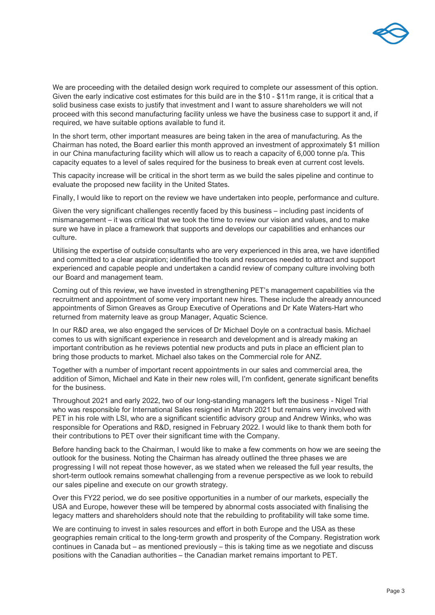

We are proceeding with the detailed design work required to complete our assessment of this option. Given the early indicative cost estimates for this build are in the \$10 - \$11m range, it is critical that a solid business case exists to justify that investment and I want to assure shareholders we will not proceed with this second manufacturing facility unless we have the business case to support it and, if required, we have suitable options available to fund it.

In the short term, other important measures are being taken in the area of manufacturing. As the Chairman has noted, the Board earlier this month approved an investment of approximately \$1 million in our China manufacturing facility which will allow us to reach a capacity of 6,000 tonne p/a. This capacity equates to a level of sales required for the business to break even at current cost levels.

This capacity increase will be critical in the short term as we build the sales pipeline and continue to evaluate the proposed new facility in the United States.

Finally, I would like to report on the review we have undertaken into people, performance and culture.

Given the very significant challenges recently faced by this business – including past incidents of mismanagement – it was critical that we took the time to review our vision and values, and to make sure we have in place a framework that supports and develops our capabilities and enhances our culture.

Utilising the expertise of outside consultants who are very experienced in this area, we have identified and committed to a clear aspiration; identified the tools and resources needed to attract and support experienced and capable people and undertaken a candid review of company culture involving both our Board and management team.

Coming out of this review, we have invested in strengthening PET's management capabilities via the recruitment and appointment of some very important new hires. These include the already announced appointments of Simon Greaves as Group Executive of Operations and Dr Kate Waters-Hart who returned from maternity leave as group Manager, Aquatic Science.

In our R&D area, we also engaged the services of Dr Michael Doyle on a contractual basis. Michael comes to us with significant experience in research and development and is already making an important contribution as he reviews potential new products and puts in place an efficient plan to bring those products to market. Michael also takes on the Commercial role for ANZ.

Together with a number of important recent appointments in our sales and commercial area, the addition of Simon, Michael and Kate in their new roles will, I'm confident, generate significant benefits for the business.

Throughout 2021 and early 2022, two of our long-standing managers left the business - Nigel Trial who was responsible for International Sales resigned in March 2021 but remains very involved with PET in his role with LSI, who are a significant scientific advisory group and Andrew Winks, who was responsible for Operations and R&D, resigned in February 2022. I would like to thank them both for their contributions to PET over their significant time with the Company.

Before handing back to the Chairman, I would like to make a few comments on how we are seeing the outlook for the business. Noting the Chairman has already outlined the three phases we are progressing I will not repeat those however, as we stated when we released the full year results, the short-term outlook remains somewhat challenging from a revenue perspective as we look to rebuild our sales pipeline and execute on our growth strategy.

Over this FY22 period, we do see positive opportunities in a number of our markets, especially the USA and Europe, however these will be tempered by abnormal costs associated with finalising the legacy matters and shareholders should note that the rebuilding to profitability will take some time.

We are continuing to invest in sales resources and effort in both Europe and the USA as these geographies remain critical to the long-term growth and prosperity of the Company. Registration work continues in Canada but – as mentioned previously – this is taking time as we negotiate and discuss positions with the Canadian authorities – the Canadian market remains important to PET.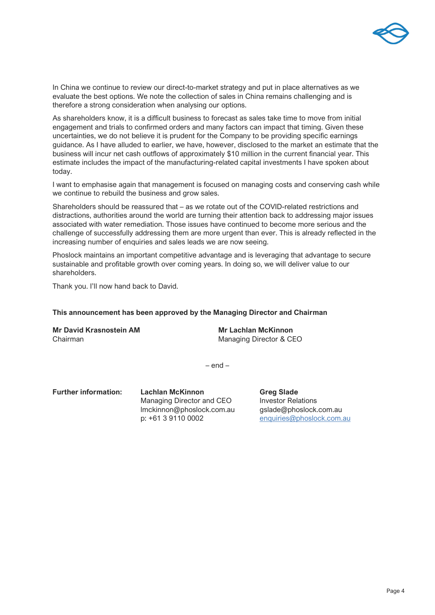

In China we continue to review our direct-to-market strategy and put in place alternatives as we evaluate the best options. We note the collection of sales in China remains challenging and is therefore a strong consideration when analysing our options.

As shareholders know, it is a difficult business to forecast as sales take time to move from initial engagement and trials to confirmed orders and many factors can impact that timing. Given these uncertainties, we do not believe it is prudent for the Company to be providing specific earnings guidance. As I have alluded to earlier, we have, however, disclosed to the market an estimate that the business will incur net cash outflows of approximately \$10 million in the current financial year. This estimate includes the impact of the manufacturing-related capital investments I have spoken about today.

I want to emphasise again that management is focused on managing costs and conserving cash while we continue to rebuild the business and grow sales.

Shareholders should be reassured that – as we rotate out of the COVID-related restrictions and distractions, authorities around the world are turning their attention back to addressing major issues associated with water remediation. Those issues have continued to become more serious and the challenge of successfully addressing them are more urgent than ever. This is already reflected in the increasing number of enquiries and sales leads we are now seeing.

Phoslock maintains an important competitive advantage and is leveraging that advantage to secure sustainable and profitable growth over coming years. In doing so, we will deliver value to our shareholders.

Thank you. I'll now hand back to David.

## **This announcement has been approved by the Managing Director and Chairman**

**Mr David Krasnostein AM Mr Lachlan McKinnon** Chairman Managing Director & CEO

– end –

**Further information:** Lachlan McKinnon **Greg Slade** Managing Director and CEO **Investor Relations** lmckinnon@phoslock.com.au gslade@phoslock.com.au p: +61 3 9110 0002 [enquiries@phoslock.com.au](mailto:enquiries@phoslock.com.au)